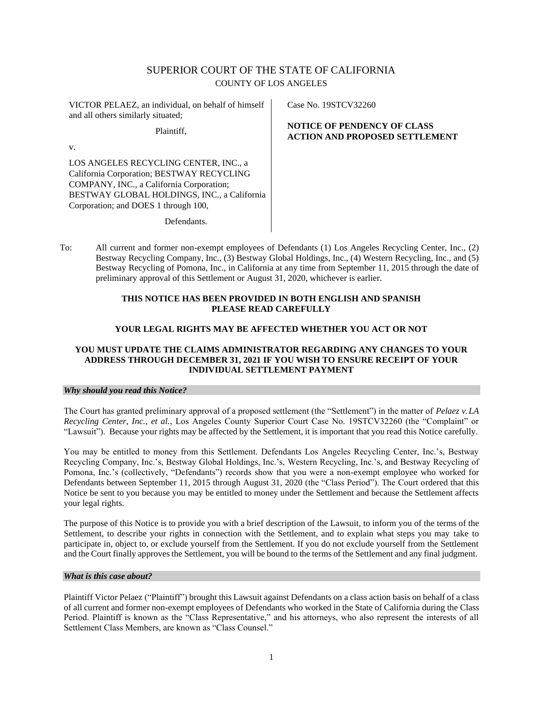# SUPERIOR COURT OF THE STATE OF CALIFORNIA COUNTY OF LOS ANGELES

VICTOR PELAEZ, an individual, on behalf of himself and all others similarly situated;

Plaintiff,

v.

LOS ANGELES RECYCLING CENTER, INC., a California Corporation; BESTWAY RECYCLING COMPANY, INC., a California Corporation; BESTWAY GLOBAL HOLDINGS, INC., a California Corporation; and DOES 1 through 100,

Case No. 19STCV32260

# **NOTICE OF PENDENCY OF CLASS ACTION AND PROPOSED SETTLEMENT**

Defendants.

To: All current and former non-exempt employees of Defendants (1) Los Angeles Recycling Center, Inc., (2) Bestway Recycling Company, Inc., (3) Bestway Global Holdings, Inc., (4) Western Recycling, Inc., and (5) Bestway Recycling of Pomona, Inc., in California at any time from September 11, 2015 through the date of preliminary approval of this Settlement or August 31, 2020, whichever is earlier.

# **THIS NOTICE HAS BEEN PROVIDED IN BOTH ENGLISH AND SPANISH PLEASE READ CAREFULLY**

# **YOUR LEGAL RIGHTS MAY BE AFFECTED WHETHER YOU ACT OR NOT**

# **YOU MUST UPDATE THE CLAIMS ADMINISTRATOR REGARDING ANY CHANGES TO YOUR ADDRESS THROUGH DECEMBER 31, 2021 IF YOU WISH TO ENSURE RECEIPT OF YOUR INDIVIDUAL SETTLEMENT PAYMENT**

## *Why should you read this Notice?*

The Court has granted preliminary approval of a proposed settlement (the "Settlement") in the matter of *Pelaez v.LA Recycling Center, Inc., et al., Los Angeles County Superior Court Case No. 19STCV32260 (the "Complaint" or* "Lawsuit"). Because your rights may be affected by the Settlement, it is important that you read this Notice carefully.

You may be entitled to money from this Settlement. Defendants Los Angeles Recycling Center, Inc.'s, Bestway Recycling Company, Inc.'s, Bestway Global Holdings, Inc.'s, Western Recycling, Inc.'s, and Bestway Recycling of Pomona, Inc.'s (collectively, "Defendants") records show that you were a non-exempt employee who worked for Defendants between September 11, 2015 through August 31, 2020 (the "Class Period"). The Court ordered that this Notice be sent to you because you may be entitled to money under the Settlement and because the Settlement affects your legal rights.

The purpose of this Notice is to provide you with a brief description of the Lawsuit, to inform you of the terms of the Settlement, to describe your rights in connection with the Settlement, and to explain what steps you may take to participate in, object to, or exclude yourself from the Settlement. If you do not exclude yourself from the Settlement and the Court finally approvesthe Settlement, you will be bound to the terms of the Settlement and any final judgment.

## *What is this case about?*

Plaintiff Victor Pelaez ("Plaintiff") brought this Lawsuit against Defendants on a class action basis on behalf of a class of all current and former non-exempt employees of Defendants who worked in the State of California during the Class Period. Plaintiff is known as the "Class Representative," and his attorneys, who also represent the interests of all Settlement Class Members, are known as "Class Counsel."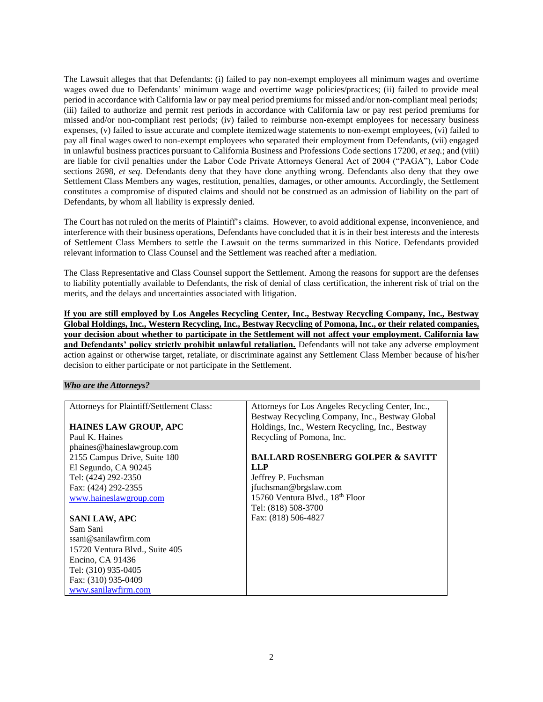The Lawsuit alleges that that Defendants: (i) failed to pay non-exempt employees all minimum wages and overtime wages owed due to Defendants' minimum wage and overtime wage policies/practices; (ii) failed to provide meal period in accordance with California law or pay meal period premiums for missed and/or non-compliant meal periods; (iii) failed to authorize and permit rest periods in accordance with California law or pay rest period premiums for missed and/or non-compliant rest periods; (iv) failed to reimburse non-exempt employees for necessary business expenses, (v) failed to issue accurate and complete itemizedwage statements to non-exempt employees, (vi) failed to pay all final wages owed to non-exempt employees who separated their employment from Defendants, (vii) engaged in unlawful business practices pursuant to California Business and Professions Code sections 17200, *et seq.*; and (viii) are liable for civil penalties under the Labor Code Private Attorneys General Act of 2004 ("PAGA"), Labor Code sections 2698, *et seq.* Defendants deny that they have done anything wrong. Defendants also deny that they owe Settlement Class Members any wages, restitution, penalties, damages, or other amounts. Accordingly, the Settlement constitutes a compromise of disputed claims and should not be construed as an admission of liability on the part of Defendants, by whom all liability is expressly denied.

The Court has not ruled on the merits of Plaintiff's claims. However, to avoid additional expense, inconvenience, and interference with their business operations, Defendants have concluded that it is in their best interests and the interests of Settlement Class Members to settle the Lawsuit on the terms summarized in this Notice. Defendants provided relevant information to Class Counsel and the Settlement was reached after a mediation.

The Class Representative and Class Counsel support the Settlement. Among the reasons for support are the defenses to liability potentially available to Defendants, the risk of denial of class certification, the inherent risk of trial on the merits, and the delays and uncertainties associated with litigation.

**If you are still employed by Los Angeles Recycling Center, Inc., Bestway Recycling Company, Inc., Bestway Global Holdings, Inc., Western Recycling, Inc., Bestway Recycling of Pomona, Inc., or their related companies, your decision about whether to participate in the Settlement will not affect your employment. California law and Defendants' policy strictly prohibit unlawful retaliation.** Defendants will not take any adverse employment action against or otherwise target, retaliate, or discriminate against any Settlement Class Member because of his/her decision to either participate or not participate in the Settlement.

### *Who are the Attorneys?*

| Attorneys for Plaintiff/Settlement Class: | Attorneys for Los Angeles Recycling Center, Inc., |
|-------------------------------------------|---------------------------------------------------|
|                                           | Bestway Recycling Company, Inc., Bestway Global   |
| <b>HAINES LAW GROUP, APC</b>              | Holdings, Inc., Western Recycling, Inc., Bestway  |
| Paul K. Haines                            | Recycling of Pomona, Inc.                         |
| phaines@haineslawgroup.com                |                                                   |
| 2155 Campus Drive, Suite 180              | <b>BALLARD ROSENBERG GOLPER &amp; SAVITT</b>      |
| El Segundo, CA 90245                      | LLP                                               |
| Tel: (424) 292-2350                       | Jeffrey P. Fuchsman                               |
| Fax: (424) 292-2355                       | jfuchsman@brgslaw.com                             |
| www.haineslawgroup.com                    | 15760 Ventura Blvd., 18th Floor                   |
|                                           | Tel: (818) 508-3700                               |
| <b>SANI LAW, APC</b>                      | Fax: (818) 506-4827                               |
| Sam Sani                                  |                                                   |
| ssani@sanilawfirm.com                     |                                                   |
| 15720 Ventura Blvd., Suite 405            |                                                   |
| Encino, CA 91436                          |                                                   |
| Tel: (310) 935-0405                       |                                                   |
| Fax: (310) 935-0409                       |                                                   |
| www.sanilawfirm.com                       |                                                   |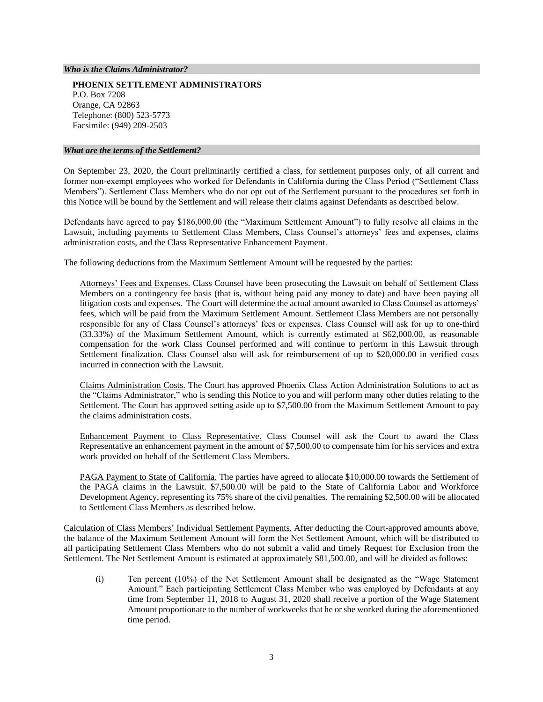#### *Who is the Claims Administrator?*

**PHOENIX SETTLEMENT ADMINISTRATORS** P.O. Box 7208 Orange, CA 92863 Telephone: (800) 523-5773 Facsimile: (949) 209-2503

#### *What are the terms of the Settlement?*

On September 23, 2020, the Court preliminarily certified a class, for settlement purposes only, of all current and former non-exempt employees who worked for Defendants in California during the Class Period ("Settlement Class Members"). Settlement Class Members who do not opt out of the Settlement pursuant to the procedures set forth in this Notice will be bound by the Settlement and will release their claims against Defendants as described below.

Defendants have agreed to pay \$186,000.00 (the "Maximum Settlement Amount") to fully resolve all claims in the Lawsuit, including payments to Settlement Class Members, Class Counsel's attorneys' fees and expenses, claims administration costs, and the Class Representative Enhancement Payment.

The following deductions from the Maximum Settlement Amount will be requested by the parties:

Attorneys' Fees and Expenses. Class Counsel have been prosecuting the Lawsuit on behalf of Settlement Class Members on a contingency fee basis (that is, without being paid any money to date) and have been paying all litigation costs and expenses. The Court will determine the actual amount awarded to Class Counsel as attorneys' fees, which will be paid from the Maximum Settlement Amount. Settlement Class Members are not personally responsible for any of Class Counsel's attorneys' fees or expenses. Class Counsel will ask for up to one-third (33.33%) of the Maximum Settlement Amount, which is currently estimated at \$62,000.00, as reasonable compensation for the work Class Counsel performed and will continue to perform in this Lawsuit through Settlement finalization. Class Counsel also will ask for reimbursement of up to \$20,000.00 in verified costs incurred in connection with the Lawsuit.

Claims Administration Costs. The Court has approved Phoenix Class Action Administration Solutions to act as the "Claims Administrator," who is sending this Notice to you and will perform many other duties relating to the Settlement. The Court has approved setting aside up to \$7,500.00 from the Maximum Settlement Amount to pay the claims administration costs.

Enhancement Payment to Class Representative. Class Counsel will ask the Court to award the Class Representative an enhancement payment in the amount of \$7,500.00 to compensate him for his services and extra work provided on behalf of the Settlement Class Members.

PAGA Payment to State of California. The parties have agreed to allocate \$10,000.00 towards the Settlement of the PAGA claims in the Lawsuit. \$7,500.00 will be paid to the State of California Labor and Workforce Development Agency, representing its 75% share of the civil penalties. The remaining \$2,500.00 will be allocated to Settlement Class Members as described below.

Calculation of Class Members' Individual Settlement Payments. After deducting the Court-approved amounts above, the balance of the Maximum Settlement Amount will form the Net Settlement Amount, which will be distributed to all participating Settlement Class Members who do not submit a valid and timely Request for Exclusion from the Settlement. The Net Settlement Amount is estimated at approximately \$81,500.00, and will be divided as follows:

(i) Ten percent (10%) of the Net Settlement Amount shall be designated as the "Wage Statement Amount." Each participating Settlement Class Member who was employed by Defendants at any time from September 11, 2018 to August 31, 2020 shall receive a portion of the Wage Statement Amount proportionate to the number of workweeks that he or she worked during the aforementioned time period.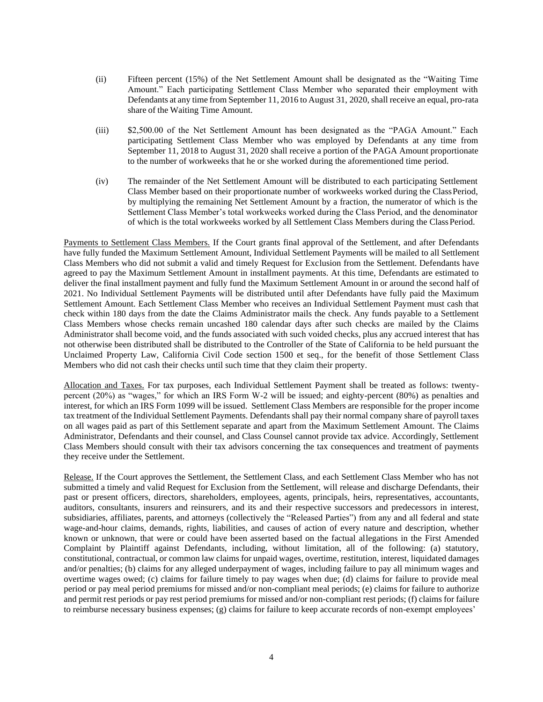- (ii) Fifteen percent (15%) of the Net Settlement Amount shall be designated as the "Waiting Time Amount." Each participating Settlement Class Member who separated their employment with Defendants at any time from September 11, 2016 to August 31, 2020, shall receive an equal, pro-rata share of the Waiting Time Amount.
- (iii) \$2,500.00 of the Net Settlement Amount has been designated as the "PAGA Amount." Each participating Settlement Class Member who was employed by Defendants at any time from September 11, 2018 to August 31, 2020 shall receive a portion of the PAGA Amount proportionate to the number of workweeks that he or she worked during the aforementioned time period.
- (iv) The remainder of the Net Settlement Amount will be distributed to each participating Settlement Class Member based on their proportionate number of workweeks worked during the ClassPeriod, by multiplying the remaining Net Settlement Amount by a fraction, the numerator of which is the Settlement Class Member's total workweeks worked during the Class Period, and the denominator of which is the total workweeks worked by all Settlement Class Members during the ClassPeriod.

Payments to Settlement Class Members. If the Court grants final approval of the Settlement, and after Defendants have fully funded the Maximum Settlement Amount, Individual Settlement Payments will be mailed to all Settlement Class Members who did not submit a valid and timely Request for Exclusion from the Settlement. Defendants have agreed to pay the Maximum Settlement Amount in installment payments. At this time, Defendants are estimated to deliver the final installment payment and fully fund the Maximum Settlement Amount in or around the second half of 2021. No Individual Settlement Payments will be distributed until after Defendants have fully paid the Maximum Settlement Amount. Each Settlement Class Member who receives an Individual Settlement Payment must cash that check within 180 days from the date the Claims Administrator mails the check. Any funds payable to a Settlement Class Members whose checks remain uncashed 180 calendar days after such checks are mailed by the Claims Administrator shall become void, and the funds associated with such voided checks, plus any accrued interest that has not otherwise been distributed shall be distributed to the Controller of the State of California to be held pursuant the Unclaimed Property Law, California Civil Code section 1500 et seq., for the benefit of those Settlement Class Members who did not cash their checks until such time that they claim their property.

Allocation and Taxes. For tax purposes, each Individual Settlement Payment shall be treated as follows: twentypercent (20%) as "wages," for which an IRS Form W-2 will be issued; and eighty-percent (80%) as penalties and interest, for which an IRS Form 1099 will be issued. Settlement Class Members are responsible for the proper income tax treatment of the Individual Settlement Payments. Defendants shall pay their normal company share of payroll taxes on all wages paid as part of this Settlement separate and apart from the Maximum Settlement Amount. The Claims Administrator, Defendants and their counsel, and Class Counsel cannot provide tax advice. Accordingly, Settlement Class Members should consult with their tax advisors concerning the tax consequences and treatment of payments they receive under the Settlement.

Release. If the Court approves the Settlement, the Settlement Class, and each Settlement Class Member who has not submitted a timely and valid Request for Exclusion from the Settlement, will release and discharge Defendants, their past or present officers, directors, shareholders, employees, agents, principals, heirs, representatives, accountants, auditors, consultants, insurers and reinsurers, and its and their respective successors and predecessors in interest, subsidiaries, affiliates, parents, and attorneys (collectively the "Released Parties") from any and all federal and state wage-and-hour claims, demands, rights, liabilities, and causes of action of every nature and description, whether known or unknown, that were or could have been asserted based on the factual allegations in the First Amended Complaint by Plaintiff against Defendants, including, without limitation, all of the following: (a) statutory, constitutional, contractual, or common law claims for unpaid wages, overtime, restitution, interest, liquidated damages and/or penalties; (b) claims for any alleged underpayment of wages, including failure to pay all minimum wages and overtime wages owed; (c) claims for failure timely to pay wages when due; (d) claims for failure to provide meal period or pay meal period premiums for missed and/or non-compliant meal periods; (e) claims for failure to authorize and permit rest periods or pay rest period premiums for missed and/or non-compliant rest periods; (f) claims for failure to reimburse necessary business expenses; (g) claims for failure to keep accurate records of non-exempt employees'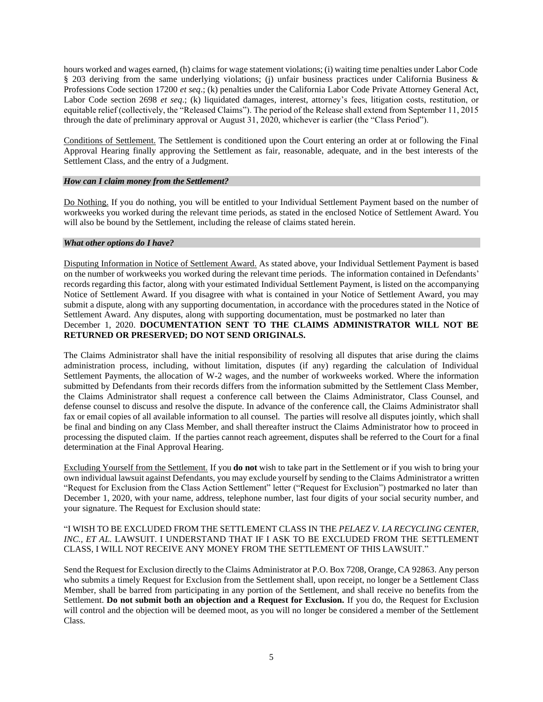hours worked and wages earned, (h) claims for wage statement violations; (i) waiting time penalties under Labor Code § 203 deriving from the same underlying violations; (i) unfair business practices under California Business & Professions Code section 17200 *et seq*.; (k) penalties under the California Labor Code Private Attorney General Act, Labor Code section 2698 *et seq.*; (k) liquidated damages, interest, attorney's fees, litigation costs, restitution, or equitable relief (collectively, the "Released Claims"). The period of the Release shall extend from September 11, 2015 through the date of preliminary approval or August 31, 2020, whichever is earlier (the "Class Period").

Conditions of Settlement. The Settlement is conditioned upon the Court entering an order at or following the Final Approval Hearing finally approving the Settlement as fair, reasonable, adequate, and in the best interests of the Settlement Class, and the entry of a Judgment.

### *How can I claim money from the Settlement?*

Do Nothing. If you do nothing, you will be entitled to your Individual Settlement Payment based on the number of workweeks you worked during the relevant time periods, as stated in the enclosed Notice of Settlement Award. You will also be bound by the Settlement, including the release of claims stated herein.

### *What other options do I have?*

Disputing Information in Notice of Settlement Award. As stated above, your Individual Settlement Payment is based on the number of workweeks you worked during the relevant time periods. The information contained in Defendants' records regarding this factor, along with your estimated Individual Settlement Payment, is listed on the accompanying Notice of Settlement Award. If you disagree with what is contained in your Notice of Settlement Award, you may submit a dispute, along with any supporting documentation, in accordance with the procedures stated in the Notice of Settlement Award. Any disputes, along with supporting documentation, must be postmarked no later than December 1, 2020. **DOCUMENTATION SENT TO THE CLAIMS ADMINISTRATOR WILL NOT BE RETURNED OR PRESERVED; DO NOT SEND ORIGINALS.**

The Claims Administrator shall have the initial responsibility of resolving all disputes that arise during the claims administration process, including, without limitation, disputes (if any) regarding the calculation of Individual Settlement Payments, the allocation of W-2 wages, and the number of workweeks worked. Where the information submitted by Defendants from their records differs from the information submitted by the Settlement Class Member, the Claims Administrator shall request a conference call between the Claims Administrator, Class Counsel, and defense counsel to discuss and resolve the dispute. In advance of the conference call, the Claims Administrator shall fax or email copies of all available information to all counsel. The parties will resolve all disputes jointly, which shall be final and binding on any Class Member, and shall thereafter instruct the Claims Administrator how to proceed in processing the disputed claim. If the parties cannot reach agreement, disputes shall be referred to the Court for a final determination at the Final Approval Hearing.

Excluding Yourself from the Settlement. If you **do not** wish to take part in the Settlement or if you wish to bring your own individual lawsuit against Defendants, you may exclude yourself by sending to the Claims Administrator a written "Request for Exclusion from the Class Action Settlement" letter ("Request for Exclusion") postmarked no later than December 1, 2020, with your name, address, telephone number, last four digits of your social security number, and your signature. The Request for Exclusion should state:

## "I WISH TO BE EXCLUDED FROM THE SETTLEMENT CLASS IN THE *PELAEZ V. LA RECYCLING CENTER, INC., ET AL.* LAWSUIT. I UNDERSTAND THAT IF I ASK TO BE EXCLUDED FROM THE SETTLEMENT CLASS, I WILL NOT RECEIVE ANY MONEY FROM THE SETTLEMENT OF THIS LAWSUIT."

Send the Request for Exclusion directly to the Claims Administrator at P.O. Box 7208, Orange, CA 92863. Any person who submits a timely Request for Exclusion from the Settlement shall, upon receipt, no longer be a Settlement Class Member, shall be barred from participating in any portion of the Settlement, and shall receive no benefits from the Settlement. **Do not submit both an objection and a Request for Exclusion.** If you do, the Request for Exclusion will control and the objection will be deemed moot, as you will no longer be considered a member of the Settlement Class.